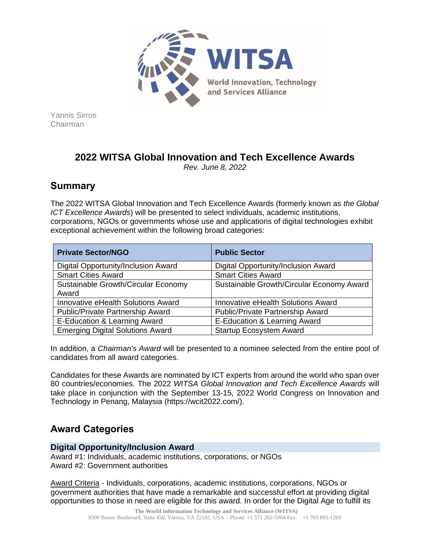

Yannis Sirros Chairman

# **2022 WITSA Global Innovation and Tech Excellence Awards**

*Rev. June 8, 2022*

# **Summary**

The 2022 WITSA Global Innovation and Tech Excellence Awards (formerly known as *the Global ICT Excellence Awards*) will be presented to select individuals, academic institutions, corporations, NGOs or governments whose use and applications of digital technologies exhibit exceptional achievement within the following broad categories:

| <b>Private Sector/NGO</b>               | <b>Public Sector</b>                      |
|-----------------------------------------|-------------------------------------------|
| Digital Opportunity/Inclusion Award     | Digital Opportunity/Inclusion Award       |
| <b>Smart Cities Award</b>               | <b>Smart Cities Award</b>                 |
| Sustainable Growth/Circular Economy     | Sustainable Growth/Circular Economy Award |
| Award                                   |                                           |
| Innovative eHealth Solutions Award      | Innovative eHealth Solutions Award        |
| Public/Private Partnership Award        | Public/Private Partnership Award          |
| E-Education & Learning Award            | E-Education & Learning Award              |
| <b>Emerging Digital Solutions Award</b> | <b>Startup Ecosystem Award</b>            |

In addition, a *Chairman's Award* will be presented to a nominee selected from the entire pool of candidates from all award categories.

Candidates for these Awards are nominated by ICT experts from around the world who span over 80 countries/economies. The 2022 *WITSA Global Innovation and Tech Excellence Awards* will take place in conjunction with the September 13-15, 2022 World Congress on Innovation and Technology in Penang, Malaysia (https://wcit2022.com/).

# **Award Categories**

## **Digital Opportunity/Inclusion Award**

Award #1: Individuals, academic institutions, corporations, or NGOs Award #2: Government authorities

Award Criteria - Individuals, corporations, academic institutions, corporations, NGOs or government authorities that have made a remarkable and successful effort at providing digital opportunities to those in need are eligible for this award. In order for the Digital Age to fulfill its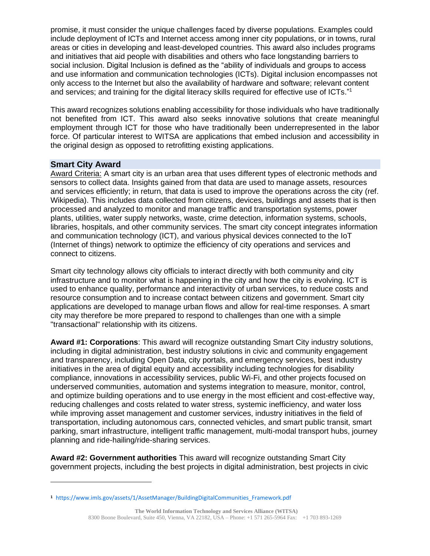promise, it must consider the unique challenges faced by diverse populations. Examples could include deployment of ICTs and Internet access among inner city populations, or in towns, rural areas or cities in developing and least-developed countries. This award also includes programs and initiatives that aid people with disabilities and others who face longstanding barriers to social inclusion. Digital Inclusion is defined as the "ability of individuals and groups to access and use information and communication technologies (ICTs). Digital inclusion encompasses not only access to the Internet but also the availability of hardware and software; relevant content and services; and training for the digital literacy skills required for effective use of ICTs."<sup>1</sup>

This award recognizes solutions enabling accessibility for those individuals who have traditionally not benefited from ICT. This award also seeks innovative solutions that create meaningful employment through ICT for those who have traditionally been underrepresented in the labor force. Of particular interest to WITSA are applications that embed inclusion and accessibility in the original design as opposed to retrofitting existing applications.

### **Smart City Award**

Award Criteria: A smart city is an urban area that uses different types of electronic methods and sensors to collect data. Insights gained from that data are used to manage assets, resources and services efficiently; in return, that data is used to improve the operations across the city (ref. Wikipedia). This includes data collected from citizens, devices, buildings and assets that is then processed and analyzed to monitor and manage traffic and transportation systems, power plants, utilities, water supply networks, waste, crime detection, information systems, schools, libraries, hospitals, and other community services. The smart city concept integrates information and communication technology (ICT), and various physical devices connected to the IoT (Internet of things) network to optimize the efficiency of city operations and services and connect to citizens.

Smart city technology allows city officials to interact directly with both community and city infrastructure and to monitor what is happening in the city and how the city is evolving. ICT is used to enhance quality, performance and interactivity of urban services, to reduce costs and resource consumption and to increase contact between citizens and government. Smart city applications are developed to manage urban flows and allow for real-time responses. A smart city may therefore be more prepared to respond to challenges than one with a simple "transactional" relationship with its citizens.

**Award #1: Corporations**: This award will recognize outstanding Smart City industry solutions, including in digital administration, best industry solutions in civic and community engagement and transparency, including Open Data, city portals, and emergency services, best industry initiatives in the area of digital equity and accessibility including technologies for disability compliance, innovations in accessibility services, public Wi-Fi, and other projects focused on underserved communities, automation and systems integration to measure, monitor, control, and optimize building operations and to use energy in the most efficient and cost-effective way, reducing challenges and costs related to water stress, systemic inefficiency, and water loss while improving asset management and customer services, industry initiatives in the field of transportation, including autonomous cars, connected vehicles, and smart public transit, smart parking, smart infrastructure, intelligent traffic management, multi-modal transport hubs, journey planning and ride-hailing/ride-sharing services.

**Award #2: Government authorities** This award will recognize outstanding Smart City government projects, including the best projects in digital administration, best projects in civic

**<sup>1</sup>** [https://www.imls.gov/assets/1/AssetManager/BuildingDigitalCommunities\\_Framework.pdf](https://www.imls.gov/assets/1/AssetManager/BuildingDigitalCommunities_Framework.pdf)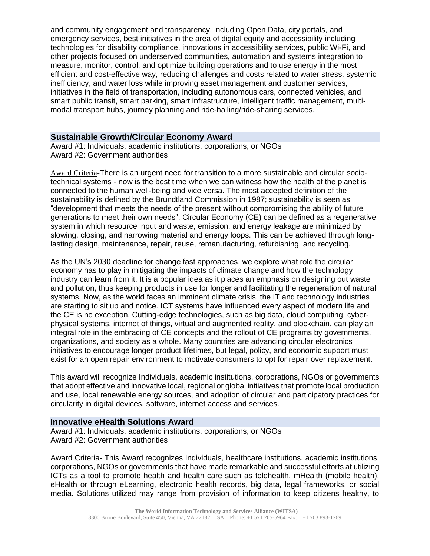and community engagement and transparency, including Open Data, city portals, and emergency services, best initiatives in the area of digital equity and accessibility including technologies for disability compliance, innovations in accessibility services, public Wi-Fi, and other projects focused on underserved communities, automation and systems integration to measure, monitor, control, and optimize building operations and to use energy in the most efficient and cost-effective way, reducing challenges and costs related to water stress, systemic inefficiency, and water loss while improving asset management and customer services, initiatives in the field of transportation, including autonomous cars, connected vehicles, and smart public transit, smart parking, smart infrastructure, intelligent traffic management, multimodal transport hubs, journey planning and ride-hailing/ride-sharing services.

### **Sustainable Growth/Circular Economy Award**

Award #1: Individuals, academic institutions, corporations, or NGOs Award #2: Government authorities

Award Criteria-There is an urgent need for transition to a more sustainable and circular sociotechnical systems - now is the best time when we can witness how the health of the planet is connected to the human well-being and vice versa. The most accepted definition of the sustainability is defined by the Brundtland Commission in 1987; sustainability is seen as "development that meets the needs of the present without compromising the ability of future generations to meet their own needs". Circular Economy (CE) can be defined as a regenerative system in which resource input and waste, emission, and energy leakage are minimized by slowing, closing, and narrowing material and energy loops. This can be achieved through longlasting design, maintenance, repair, reuse, remanufacturing, refurbishing, and recycling.

As the UN's 2030 deadline for change fast approaches, we explore what role the circular economy has to play in mitigating the impacts of climate change and how the technology industry can learn from it. It is a popular idea as it places an emphasis on designing out waste and pollution, thus keeping products in use for longer and facilitating the regeneration of natural systems. Now, as the world faces an imminent climate crisis, the IT and technology industries are starting to sit up and notice. ICT systems have influenced every aspect of modern life and the CE is no exception. Cutting-edge technologies, such as big data, cloud computing, cyberphysical systems, internet of things, virtual and augmented reality, and blockchain, can play an integral role in the embracing of CE concepts and the rollout of CE programs by governments, organizations, and society as a whole. Many countries are advancing circular electronics initiatives to encourage longer product lifetimes, but legal, policy, and economic support must exist for an open repair environment to motivate consumers to opt for repair over replacement.

This award will recognize Individuals, academic institutions, corporations, NGOs or governments that adopt effective and innovative local, regional or global initiatives that promote local production and use, local renewable energy sources, and adoption of circular and participatory practices for circularity in digital devices, software, internet access and services.

#### **Innovative eHealth Solutions Award**

Award #1: Individuals, academic institutions, corporations, or NGOs Award #2: Government authorities

Award Criteria- This Award recognizes Individuals, healthcare institutions, academic institutions, corporations, NGOs or governments that have made remarkable and successful efforts at utilizing ICTs as a tool to promote health and health care such as telehealth, mHealth (mobile health), eHealth or through eLearning, electronic health records, big data, legal frameworks, or social media. Solutions utilized may range from provision of information to keep citizens healthy, to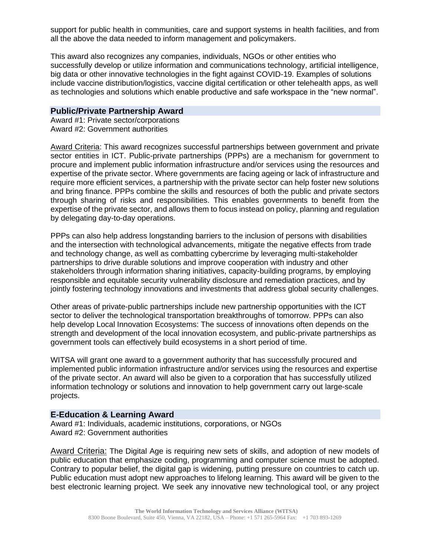support for public health in communities, care and support systems in health facilities, and from all the above the data needed to inform management and policymakers.

This award also recognizes any companies, individuals, NGOs or other entities who successfully develop or utilize information and communications technology, artificial intelligence, big data or other innovative technologies in the fight against COVID-19. Examples of solutions include vaccine distribution/logistics, vaccine digital certification or other telehealth apps, as well as technologies and solutions which enable productive and safe workspace in the "new normal".

#### **Public/Private Partnership Award**

Award #1: Private sector/corporations Award #2: Government authorities

Award Criteria: This award recognizes successful partnerships between government and private sector entities in ICT. Public-private partnerships (PPPs) are a mechanism for government to procure and implement public information infrastructure and/or services using the resources and expertise of the private sector. Where governments are facing ageing or lack of infrastructure and require more efficient services, a partnership with the private sector can help foster new solutions and bring finance. PPPs combine the skills and resources of both the public and private sectors through sharing of risks and responsibilities. This enables governments to benefit from the expertise of the private sector, and allows them to focus instead on policy, planning and regulation by delegating day-to-day operations.

PPPs can also help address longstanding barriers to the inclusion of persons with disabilities and the intersection with technological advancements, mitigate the negative effects from trade and technology change, as well as combatting cybercrime by leveraging multi-stakeholder partnerships to drive durable solutions and improve cooperation with industry and other stakeholders through information sharing initiatives, capacity-building programs, by employing responsible and equitable security vulnerability disclosure and remediation practices, and by jointly fostering technology innovations and investments that address global security challenges.

Other areas of private-public partnerships include new partnership opportunities with the ICT sector to deliver the technological transportation breakthroughs of tomorrow. PPPs can also help develop Local Innovation Ecosystems: The success of innovations often depends on the strength and development of the local innovation ecosystem, and public-private partnerships as government tools can effectively build ecosystems in a short period of time.

WITSA will grant one award to a government authority that has successfully procured and implemented public information infrastructure and/or services using the resources and expertise of the private sector. An award will also be given to a corporation that has successfully utilized information technology or solutions and innovation to help government carry out large-scale projects.

#### **E-Education & Learning Award**

Award #1: Individuals, academic institutions, corporations, or NGOs Award #2: Government authorities

Award Criteria: The Digital Age is requiring new sets of skills, and adoption of new models of public education that emphasize coding, programming and computer science must be adopted. Contrary to popular belief, the digital gap is widening, putting pressure on countries to catch up. Public education must adopt new approaches to lifelong learning. This award will be given to the best electronic learning project. We seek any innovative new technological tool, or any project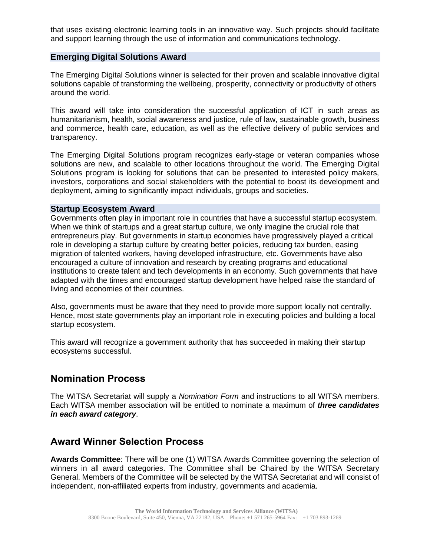that uses existing electronic learning tools in an innovative way. Such projects should facilitate and support learning through the use of information and communications technology.

#### **Emerging Digital Solutions Award**

The Emerging Digital Solutions winner is selected for their proven and scalable innovative digital solutions capable of transforming the wellbeing, prosperity, connectivity or productivity of others around the world.

This award will take into consideration the successful application of ICT in such areas as humanitarianism, health, social awareness and justice, rule of law, sustainable growth, business and commerce, health care, education, as well as the effective delivery of public services and transparency.

The Emerging Digital Solutions program recognizes early-stage or veteran companies whose solutions are new, and scalable to other locations throughout the world. The Emerging Digital Solutions program is looking for solutions that can be presented to interested policy makers, investors, corporations and social stakeholders with the potential to boost its development and deployment, aiming to significantly impact individuals, groups and societies.

#### **Startup Ecosystem Award**

Governments often play in important role in countries that have a successful startup ecosystem. When we think of startups and a great startup culture, we only imagine the crucial role that entrepreneurs play. But governments in startup economies have progressively played a critical role in developing a startup culture by creating better policies, reducing tax burden, easing migration of talented workers, having developed infrastructure, etc. Governments have also encouraged a culture of innovation and research by creating programs and educational institutions to create talent and tech developments in an economy. Such governments that have adapted with the times and encouraged startup development have helped raise the standard of living and economies of their countries.

Also, governments must be aware that they need to provide more support locally not centrally. Hence, most state governments play an important role in executing policies and building a local startup ecosystem.

This award will recognize a government authority that has succeeded in making their startup ecosystems successful.

## **Nomination Process**

The WITSA Secretariat will supply a *Nomination Form* and instructions to all WITSA members. Each WITSA member association will be entitled to nominate a maximum of *three candidates in each award category*.

## **Award Winner Selection Process**

**Awards Committee**: There will be one (1) WITSA Awards Committee governing the selection of winners in all award categories. The Committee shall be Chaired by the WITSA Secretary General. Members of the Committee will be selected by the WITSA Secretariat and will consist of independent, non-affiliated experts from industry, governments and academia.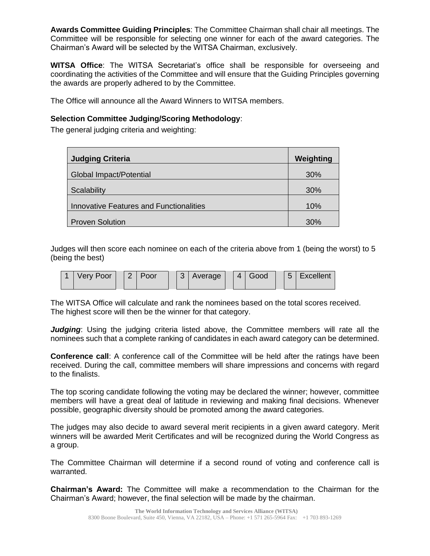**Awards Committee Guiding Principles**: The Committee Chairman shall chair all meetings. The Committee will be responsible for selecting one winner for each of the award categories. The Chairman's Award will be selected by the WITSA Chairman, exclusively.

**WITSA Office**: The WITSA Secretariat's office shall be responsible for overseeing and coordinating the activities of the Committee and will ensure that the Guiding Principles governing the awards are properly adhered to by the Committee.

The Office will announce all the Award Winners to WITSA members.

### **Selection Committee Judging/Scoring Methodology**:

The general judging criteria and weighting:

| <b>Judging Criteria</b>                        | Weighting |
|------------------------------------------------|-----------|
| Global Impact/Potential                        | 30%       |
| Scalability                                    | 30%       |
| <b>Innovative Features and Functionalities</b> | 10%       |
| <b>Proven Solution</b>                         | 30%       |

Judges will then score each nominee on each of the criteria above from 1 (being the worst) to 5 (being the best)



The WITSA Office will calculate and rank the nominees based on the total scores received. The highest score will then be the winner for that category.

*Judging*: Using the judging criteria listed above, the Committee members will rate all the nominees such that a complete ranking of candidates in each award category can be determined.

**Conference call**: A conference call of the Committee will be held after the ratings have been received. During the call, committee members will share impressions and concerns with regard to the finalists.

The top scoring candidate following the voting may be declared the winner; however, committee members will have a great deal of latitude in reviewing and making final decisions. Whenever possible, geographic diversity should be promoted among the award categories.

The judges may also decide to award several merit recipients in a given award category. Merit winners will be awarded Merit Certificates and will be recognized during the World Congress as a group.

The Committee Chairman will determine if a second round of voting and conference call is warranted.

**Chairman's Award:** The Committee will make a recommendation to the Chairman for the Chairman's Award; however, the final selection will be made by the chairman.